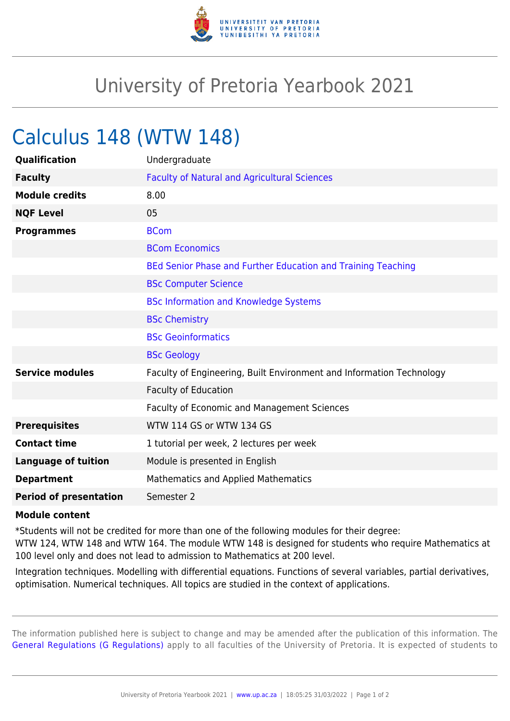

## University of Pretoria Yearbook 2021

## Calculus 148 (WTW 148)

| Qualification                 | Undergraduate                                                        |
|-------------------------------|----------------------------------------------------------------------|
| <b>Faculty</b>                | <b>Faculty of Natural and Agricultural Sciences</b>                  |
| <b>Module credits</b>         | 8.00                                                                 |
| <b>NQF Level</b>              | 05                                                                   |
| <b>Programmes</b>             | <b>BCom</b>                                                          |
|                               | <b>BCom Economics</b>                                                |
|                               | BEd Senior Phase and Further Education and Training Teaching         |
|                               | <b>BSc Computer Science</b>                                          |
|                               | <b>BSc Information and Knowledge Systems</b>                         |
|                               | <b>BSc Chemistry</b>                                                 |
|                               | <b>BSc Geoinformatics</b>                                            |
|                               | <b>BSc Geology</b>                                                   |
| <b>Service modules</b>        | Faculty of Engineering, Built Environment and Information Technology |
|                               | <b>Faculty of Education</b>                                          |
|                               | <b>Faculty of Economic and Management Sciences</b>                   |
| <b>Prerequisites</b>          | WTW 114 GS or WTW 134 GS                                             |
| <b>Contact time</b>           | 1 tutorial per week, 2 lectures per week                             |
| <b>Language of tuition</b>    | Module is presented in English                                       |
| <b>Department</b>             | <b>Mathematics and Applied Mathematics</b>                           |
| <b>Period of presentation</b> | Semester 2                                                           |

## **Module content**

\*Students will not be credited for more than one of the following modules for their degree:

WTW 124, WTW 148 and WTW 164. The module WTW 148 is designed for students who require Mathematics at 100 level only and does not lead to admission to Mathematics at 200 level.

Integration techniques. Modelling with differential equations. Functions of several variables, partial derivatives, optimisation. Numerical techniques. All topics are studied in the context of applications.

The information published here is subject to change and may be amended after the publication of this information. The [General Regulations \(G Regulations\)](https://www.up.ac.za/yearbooks/2021/rules/view/REG) apply to all faculties of the University of Pretoria. It is expected of students to